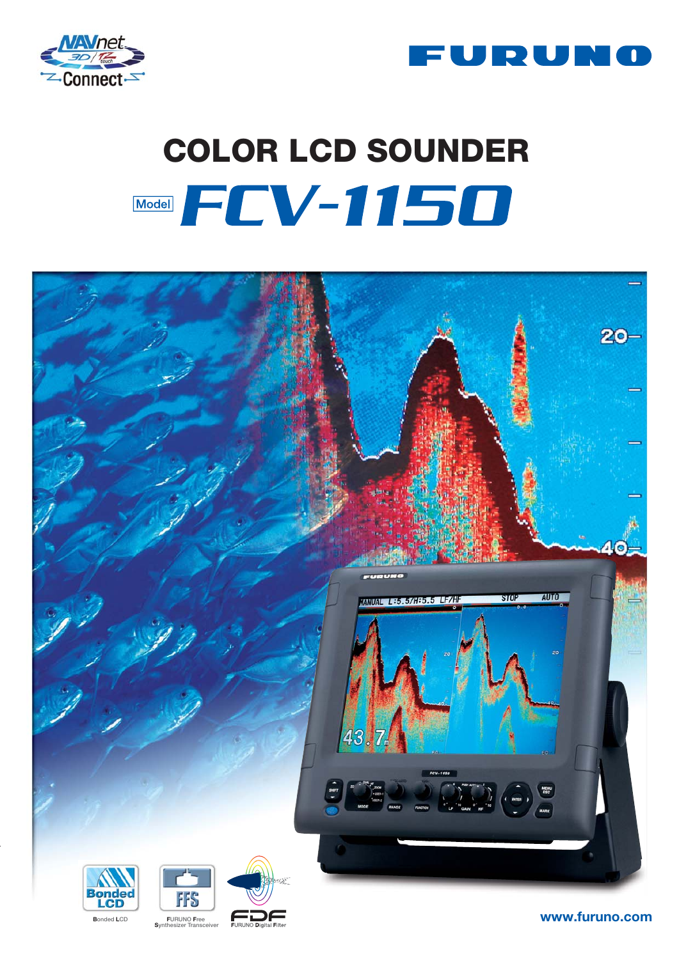



# **COLOR LCD SOUNDER** Model FCV-1150



www.furuno.com

**Bonded LCD** 



**FURUNO Free** Syn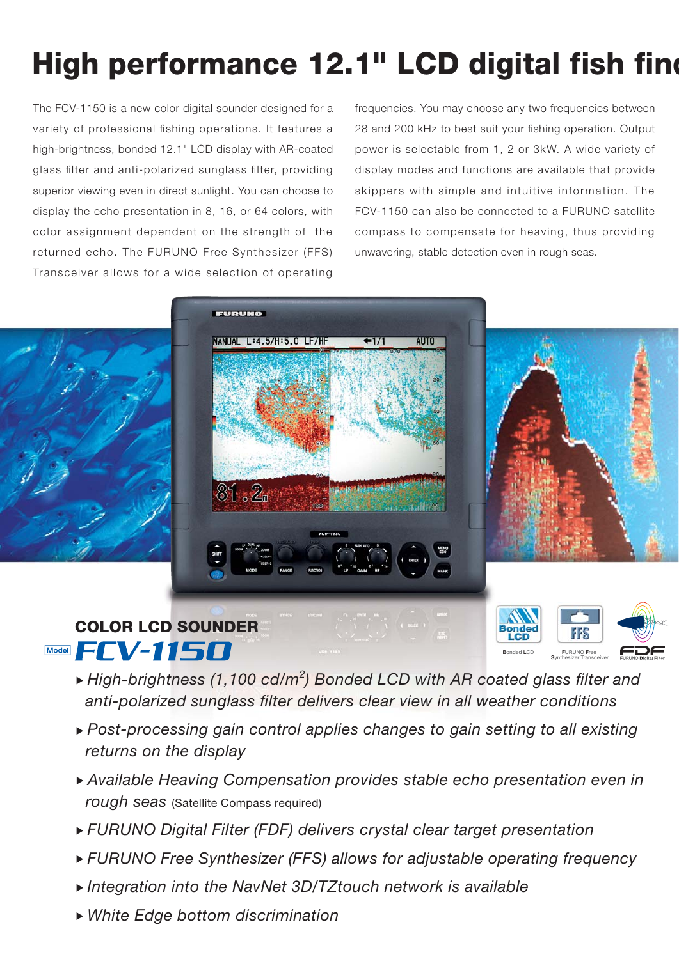## **High performance 12.1" LCD digital fish find**

The FCV-1150 is a new color digital sounder designed for a variety of professional fishing operations. It features a high-brightness, bonded 12.1" LCD display with AR-coated glass filter and anti-polarized sunglass filter, providing superior viewing even in direct sunlight. You can choose to display the echo presentation in 8, 16, or 64 colors, with color assignment dependent on the strength of the returned echo. The FURUNO Free Synthesizer (FFS) Transceiver allows for a wide selection of operating

frequencies. You may choose any two frequencies between 28 and 200 kHz to best suit your fishing operation. Output power is selectable from 1, 2 or 3kW. A wide variety of display modes and functions are available that provide skippers with simple and intuitive information. The FCV-1150 can also be connected to a FURUNO satellite compass to compensate for heaving, thus providing unwavering, stable detection even in rough seas.

**<sup>F</sup>URUNO Free Synthesizer Transceiver Bonded LCD**



### **Model FCV-1150**

- $\blacktriangleright$  High-brightness (1,100 cd/m<sup>2</sup>) Bonded LCD with AR coated glass filter and anti-polarized sunglass filter delivers clear view in all weather conditions
- Post-processing gain control applies changes to gain setting to all existing returns on the display
- Available Heaving Compensation provides stable echo presentation even in rough seas (Satellite Compass required)
- FURUNO Digital Filter (FDF) delivers crystal clear target presentation
- ▶ FURUNO Free Synthesizer (FFS) allows for adjustable operating frequency
- Integration into the NavNet 3D/TZtouch network is available
- White Edge bottom discrimination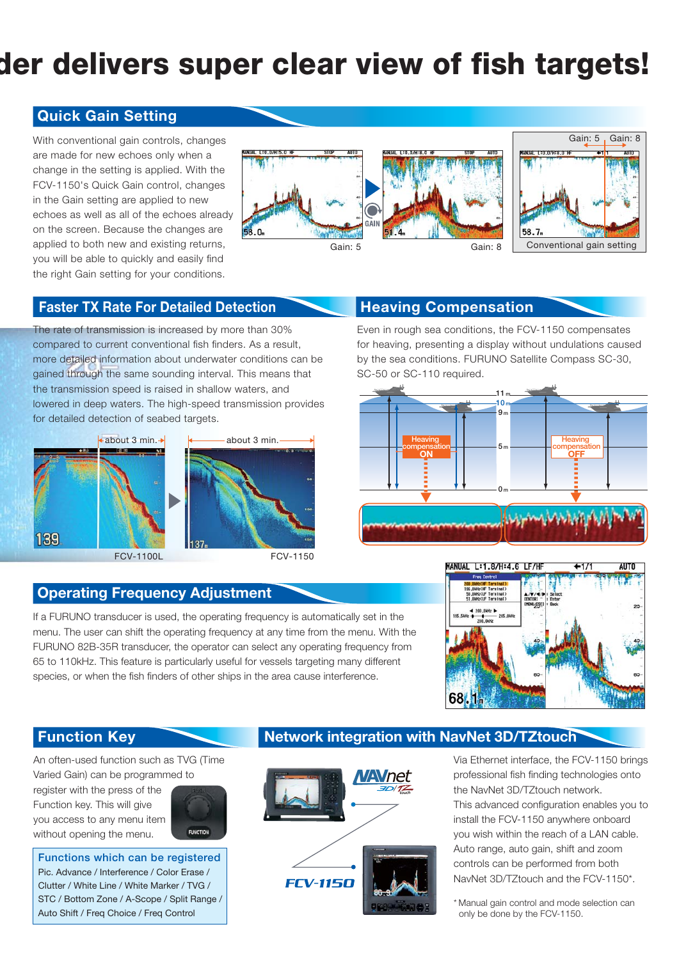## **der delivers super clear view of fish targets!**

#### **Quick Gain Setting**

With conventional gain controls, changes are made for new echoes only when a change in the setting is applied. With the FCV-1150's Quick Gain control, changes in the Gain setting are applied to new echoes as well as all of the echoes already on the screen. Because the changes are applied to both new and existing returns, you will be able to quickly and easily find the right Gain setting for your conditions.





#### **Faster TX Rate For Detailed Detection**

The rate of transmission is increased by more than 30% compared to current conventional fish finders. As a result, more detailed information about underwater conditions can be gained through the same sounding interval. This means that the transmission speed is raised in shallow waters, and lowered in deep waters. The high-speed transmission provides for detailed detection of seabed targets.



### **Heaving Compensation**

Even in rough sea conditions, the FCV-1150 compensates for heaving, presenting a display without undulations caused by the sea conditions. FURUNO Satellite Compass SC-30, SC-50 or SC-110 required.



### **Operating Frequency Adjustment**

If a FURUNO transducer is used, the operating frequency is automatically set in the menu. The user can shift the operating frequency at any time from the menu. With the FURUNO 82B-35R transducer, the operator can select any operating frequency from 65 to 110kHz. This feature is particularly useful for vessels targeting many different species, or when the fish finders of other ships in the area cause interference.



An often-used function such as TVG (Time Varied Gain) can be programmed to

register with the press of the Function key. This will give you access to any menu item without opening the menu.



**Functions which can be registered** Pic. Advance / Interference / Color Erase / Clutter / White Line / White Marker / TVG / STC / Bottom Zone / A-Scope / Split Range / Auto Shift / Freq Choice / Freq Control

### **Function Key Network integration with NavNet 3D/TZtouch**



Via Ethernet interface, the FCV-1150 brings professional fish finding technologies onto the NavNet 3D/TZtouch network.

This advanced configuration enables you to install the FCV-1150 anywhere onboard you wish within the reach of a LAN cable. Auto range, auto gain, shift and zoom controls can be performed from both NavNet 3D/TZtouch and the FCV-1150\*.

\* Manual gain control and mode selection can only be done by the FCV-1150.